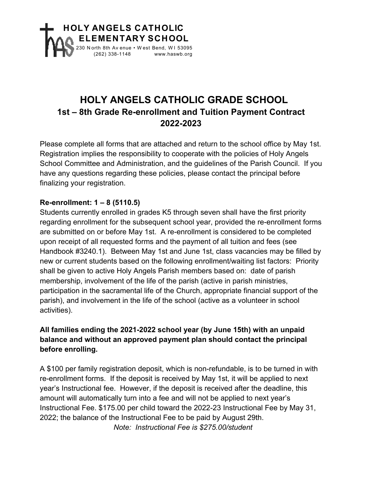

## **HOLY ANGELS CATHOLIC GRADE SCHOOL 1st – 8th Grade Re-enrollment and Tuition Payment Contract 2022-2023**

Please complete all forms that are attached and return to the school office by May 1st. Registration implies the responsibility to cooperate with the policies of Holy Angels School Committee and Administration, and the guidelines of the Parish Council. If you have any questions regarding these policies, please contact the principal before finalizing your registration.

## **Re-enrollment: 1 – 8 (5110.5)**

Students currently enrolled in grades K5 through seven shall have the first priority regarding enrollment for the subsequent school year, provided the re-enrollment forms are submitted on or before May 1st. A re-enrollment is considered to be completed upon receipt of all requested forms and the payment of all tuition and fees (see Handbook #3240.1). Between May 1st and June 1st, class vacancies may be filled by new or current students based on the following enrollment/waiting list factors: Priority shall be given to active Holy Angels Parish members based on: date of parish membership, involvement of the life of the parish (active in parish ministries, participation in the sacramental life of the Church, appropriate financial support of the parish), and involvement in the life of the school (active as a volunteer in school activities).

## **All families ending the 2021-2022 school year (by June 15th) with an unpaid balance and without an approved payment plan should contact the principal before enrolling.**

A \$100 per family registration deposit, which is non-refundable, is to be turned in with re-enrollment forms. If the deposit is received by May 1st, it will be applied to next year's Instructional fee. However, if the deposit is received after the deadline, this amount will automatically turn into a fee and will not be applied to next year's Instructional Fee. \$175.00 per child toward the 2022-23 Instructional Fee by May 31, 2022; the balance of the Instructional Fee to be paid by August 29th.

*Note: Instructional Fee is \$275.00/student*